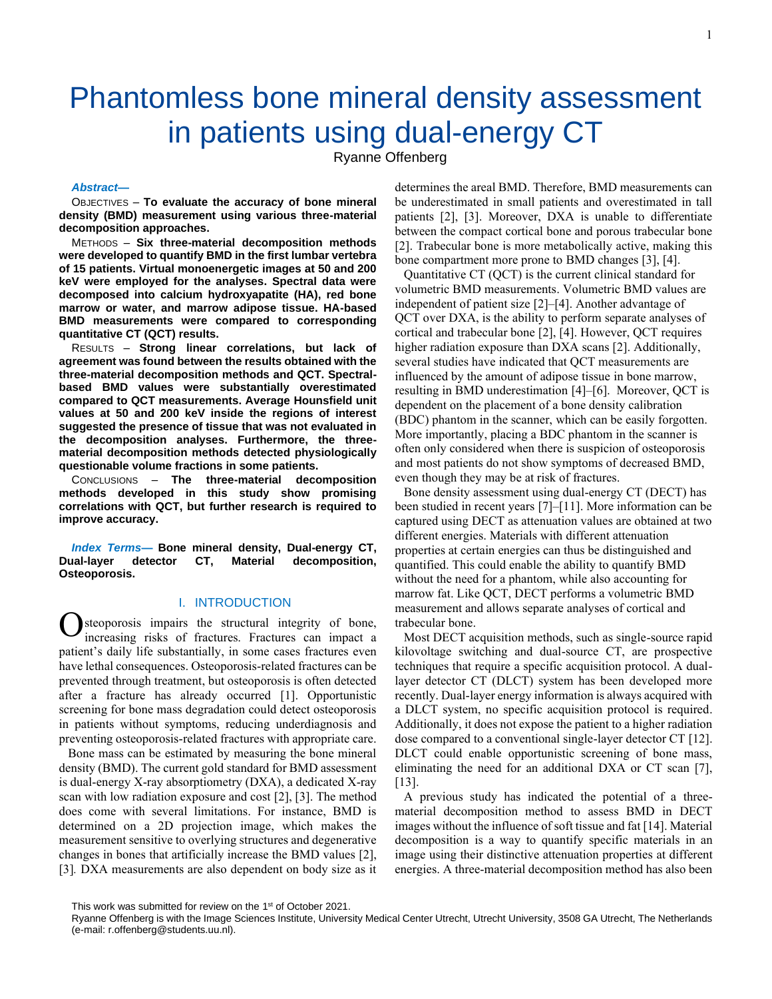# Phantomless bone mineral density assessment in patients using dual-energy CT

Ryanne Offenberg

#### *Abstract***—**

OBJECTIVES – **To evaluate the accuracy of bone mineral density (BMD) measurement using various three-material decomposition approaches.**

METHODS – **Six three-material decomposition methods were developed to quantify BMD in the first lumbar vertebra of 15 patients. Virtual monoenergetic images at 50 and 200 keV were employed for the analyses. Spectral data were decomposed into calcium hydroxyapatite (HA), red bone marrow or water, and marrow adipose tissue. HA-based BMD measurements were compared to corresponding quantitative CT (QCT) results.**

RESULTS – **Strong linear correlations, but lack of agreement was found between the results obtained with the three-material decomposition methods and QCT. Spectralbased BMD values were substantially overestimated compared to QCT measurements. Average Hounsfield unit values at 50 and 200 keV inside the regions of interest suggested the presence of tissue that was not evaluated in the decomposition analyses. Furthermore, the threematerial decomposition methods detected physiologically questionable volume fractions in some patients.**

CONCLUSIONS – **The three-material decomposition methods developed in this study show promising correlations with QCT, but further research is required to improve accuracy.**

*Index Terms***— Bone mineral density, Dual-energy CT, Dual-layer detector CT, Material decomposition, Osteoporosis.**

# I. INTRODUCTION

**O** steoporosis impairs the structural integrity of bone, increasing risks of fractures. Fractures can impact a increasing risks of fractures. Fractures can impact a patient's daily life substantially, in some cases fractures even have lethal consequences. Osteoporosis-related fractures can be prevented through treatment, but osteoporosis is often detected after a fracture has already occurred [1]. Opportunistic screening for bone mass degradation could detect osteoporosis in patients without symptoms, reducing underdiagnosis and preventing osteoporosis-related fractures with appropriate care.

Bone mass can be estimated by measuring the bone mineral density (BMD). The current gold standard for BMD assessment is dual-energy X-ray absorptiometry (DXA), a dedicated X-ray scan with low radiation exposure and cost [2], [3]. The method does come with several limitations. For instance, BMD is determined on a 2D projection image, which makes the measurement sensitive to overlying structures and degenerative changes in bones that artificially increase the BMD values [2], [3]*.* DXA measurements are also dependent on body size as it determines the areal BMD. Therefore, BMD measurements can be underestimated in small patients and overestimated in tall patients [2], [3]. Moreover, DXA is unable to differentiate between the compact cortical bone and porous trabecular bone [2]. Trabecular bone is more metabolically active, making this bone compartment more prone to BMD changes [3], [4].

Quantitative CT (QCT) is the current clinical standard for volumetric BMD measurements. Volumetric BMD values are independent of patient size [2]–[4]. Another advantage of QCT over DXA, is the ability to perform separate analyses of cortical and trabecular bone [2], [4]. However, QCT requires higher radiation exposure than DXA scans [2]. Additionally, several studies have indicated that QCT measurements are influenced by the amount of adipose tissue in bone marrow, resulting in BMD underestimation [4]–[6]. Moreover, QCT is dependent on the placement of a bone density calibration (BDC) phantom in the scanner, which can be easily forgotten. More importantly, placing a BDC phantom in the scanner is often only considered when there is suspicion of osteoporosis and most patients do not show symptoms of decreased BMD, even though they may be at risk of fractures.

Bone density assessment using dual-energy CT (DECT) has been studied in recent years [7]–[11]. More information can be captured using DECT as attenuation values are obtained at two different energies. Materials with different attenuation properties at certain energies can thus be distinguished and quantified. This could enable the ability to quantify BMD without the need for a phantom, while also accounting for marrow fat. Like QCT, DECT performs a volumetric BMD measurement and allows separate analyses of cortical and trabecular bone.

Most DECT acquisition methods, such as single-source rapid kilovoltage switching and dual-source CT, are prospective techniques that require a specific acquisition protocol. A duallayer detector CT (DLCT) system has been developed more recently. Dual-layer energy information is always acquired with a DLCT system, no specific acquisition protocol is required. Additionally, it does not expose the patient to a higher radiation dose compared to a conventional single-layer detector CT [12]. DLCT could enable opportunistic screening of bone mass, eliminating the need for an additional DXA or CT scan [7], [13].

A previous study has indicated the potential of a threematerial decomposition method to assess BMD in DECT images without the influence of soft tissue and fat [14]. Material decomposition is a way to quantify specific materials in an image using their distinctive attenuation properties at different energies. A three-material decomposition method has also been

This work was submitted for review on the 1<sup>st</sup> of October 2021.

Ryanne Offenberg is with the Image Sciences Institute, University Medical Center Utrecht, Utrecht University, 3508 GA Utrecht, The Netherlands (e-mail: r.offenberg@students.uu.nl).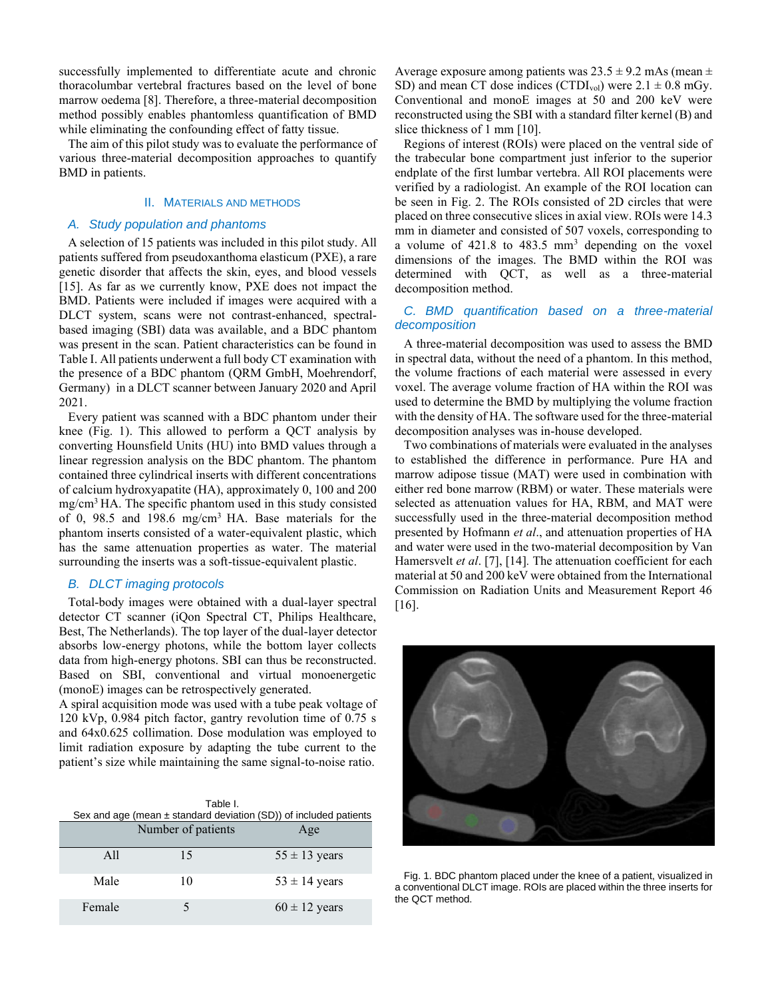successfully implemented to differentiate acute and chronic thoracolumbar vertebral fractures based on the level of bone marrow oedema [8]. Therefore, a three-material decomposition method possibly enables phantomless quantification of BMD while eliminating the confounding effect of fatty tissue.

The aim of this pilot study was to evaluate the performance of various three-material decomposition approaches to quantify BMD in patients.

# II. MATERIALS AND METHODS

# *A. Study population and phantoms*

A selection of 15 patients was included in this pilot study. All patients suffered from pseudoxanthoma elasticum (PXE), a rare genetic disorder that affects the skin, eyes, and blood vessels [15]. As far as we currently know, PXE does not impact the BMD. Patients were included if images were acquired with a DLCT system, scans were not contrast-enhanced, spectralbased imaging (SBI) data was available, and a BDC phantom was present in the scan. Patient characteristics can be found in Table I. All patients underwent a full body CT examination with the presence of a BDC phantom (QRM GmbH, Moehrendorf, Germany) in a DLCT scanner between January 2020 and April 2021.

Every patient was scanned with a BDC phantom under their knee (Fig. 1). This allowed to perform a QCT analysis by converting Hounsfield Units (HU) into BMD values through a linear regression analysis on the BDC phantom. The phantom contained three cylindrical inserts with different concentrations of calcium hydroxyapatite (HA), approximately 0, 100 and 200 mg/cm<sup>3</sup>HA. The specific phantom used in this study consisted of 0, 98.5 and 198.6 mg/cm<sup>3</sup> HA. Base materials for the phantom inserts consisted of a water-equivalent plastic, which has the same attenuation properties as water. The material surrounding the inserts was a soft-tissue-equivalent plastic.

## *B. DLCT imaging protocols*

Total-body images were obtained with a dual-layer spectral detector CT scanner (iQon Spectral CT, Philips Healthcare, Best, The Netherlands). The top layer of the dual-layer detector absorbs low-energy photons, while the bottom layer collects data from high-energy photons. SBI can thus be reconstructed. Based on SBI, conventional and virtual monoenergetic (monoE) images can be retrospectively generated.

A spiral acquisition mode was used with a tube peak voltage of 120 kVp, 0.984 pitch factor, gantry revolution time of 0.75 s and 64x0.625 collimation. Dose modulation was employed to limit radiation exposure by adapting the tube current to the patient's size while maintaining the same signal-to-noise ratio.

|        | Table I.<br>Sex and age (mean $\pm$ standard deviation (SD)) of included patients |                   |  |  |
|--------|-----------------------------------------------------------------------------------|-------------------|--|--|
|        | Number of patients                                                                | Age               |  |  |
| A11    | 15                                                                                | $55 \pm 13$ years |  |  |
| Male   | 10                                                                                | $53 \pm 14$ years |  |  |
| Female |                                                                                   | $60 \pm 12$ years |  |  |

Average exposure among patients was  $23.5 \pm 9.2$  mAs (mean  $\pm$ SD) and mean CT dose indices (CTDI<sub>vol</sub>) were  $2.1 \pm 0.8$  mGy. Conventional and monoE images at 50 and 200 keV were reconstructed using the SBI with a standard filter kernel (B) and slice thickness of 1 mm [10].

Regions of interest (ROIs) were placed on the ventral side of the trabecular bone compartment just inferior to the superior endplate of the first lumbar vertebra. All ROI placements were verified by a radiologist. An example of the ROI location can be seen in Fig. 2. The ROIs consisted of 2D circles that were placed on three consecutive slices in axial view. ROIs were 14.3 mm in diameter and consisted of 507 voxels, corresponding to a volume of  $421.8$  to  $483.5$  mm<sup>3</sup> depending on the voxel dimensions of the images. The BMD within the ROI was determined with QCT, as well as a three-material decomposition method.

## *C. BMD quantification based on a three-material decomposition*

A three-material decomposition was used to assess the BMD in spectral data, without the need of a phantom. In this method, the volume fractions of each material were assessed in every voxel. The average volume fraction of HA within the ROI was used to determine the BMD by multiplying the volume fraction with the density of HA. The software used for the three-material decomposition analyses was in-house developed.

Two combinations of materials were evaluated in the analyses to established the difference in performance. Pure HA and marrow adipose tissue (MAT) were used in combination with either red bone marrow (RBM) or water. These materials were selected as attenuation values for HA, RBM, and MAT were successfully used in the three-material decomposition method presented by Hofmann *et al*., and attenuation properties of HA and water were used in the two-material decomposition by Van Hamersvelt *et al*. [7], [14]*.* The attenuation coefficient for each material at 50 and 200 keV were obtained from the International Commission on Radiation Units and Measurement Report 46 [16].



Fig. 1. BDC phantom placed under the knee of a patient, visualized in a conventional DLCT image. ROIs are placed within the three inserts for the QCT method.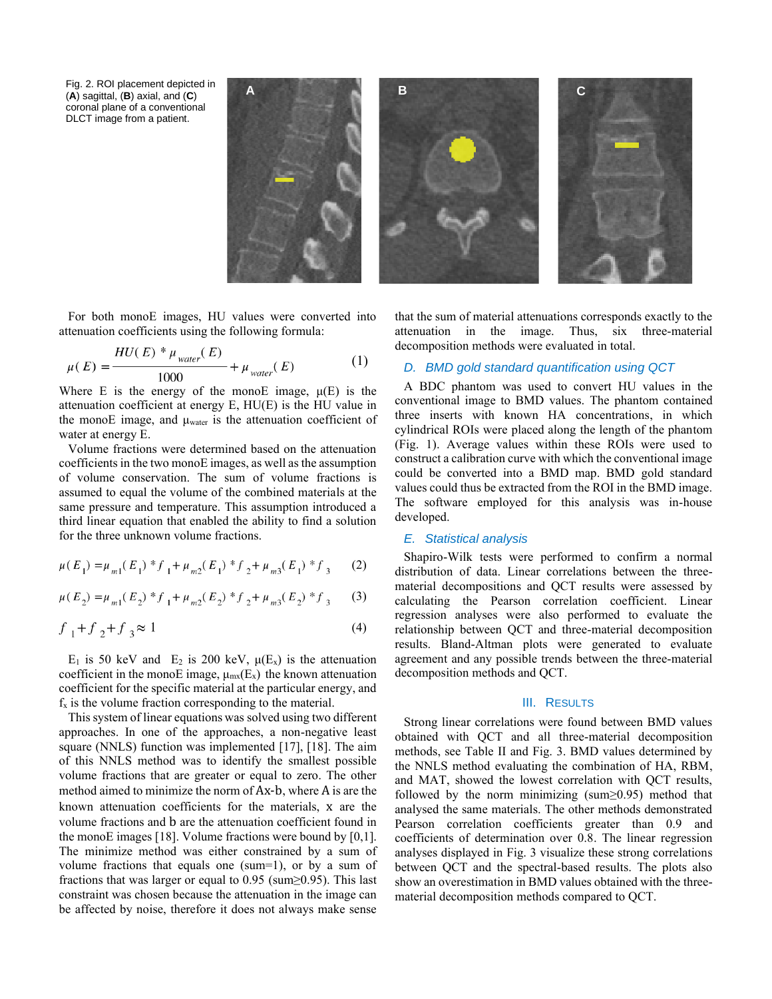Fig. 2. ROI placement depicted in (**A**) sagittal, (**B**) axial, and (**C**) coronal plane of a conventional DLCT image from a patient.



For both monoE images, HU values were converted into attenuation coefficients using the following formula:

$$
\mu(E) = \frac{HU(E) * \mu_{water}(E)}{1000} + \mu_{water}(E)
$$
(1)

Where E is the energy of the monoE image,  $\mu(E)$  is the attenuation coefficient at energy E, HU(E) is the HU value in the monoE image, and  $\mu_{\text{water}}$  is the attenuation coefficient of water at energy E.

Volume fractions were determined based on the attenuation coefficients in the two monoE images, as well as the assumption of volume conservation. The sum of volume fractions is assumed to equal the volume of the combined materials at the same pressure and temperature. This assumption introduced a third linear equation that enabled the ability to find a solution for the three unknown volume fractions.

$$
\mu(E_1) = \mu_{m1}(E_1) * f_1 + \mu_{m2}(E_1) * f_2 + \mu_{m3}(E_1) * f_3 \tag{2}
$$

$$
\mu(E_2) = \mu_{m1}(E_2) * f_1 + \mu_{m2}(E_2) * f_2 + \mu_{m3}(E_2) * f_3
$$
 (3)

$$
f_1 + f_2 + f_3 \approx 1\tag{4}
$$

E<sub>1</sub> is 50 keV and E<sub>2</sub> is 200 keV,  $\mu(E_x)$  is the attenuation coefficient in the monoE image,  $\mu_{mx}(E_x)$  the known attenuation coefficient for the specific material at the particular energy, and  $f<sub>x</sub>$  is the volume fraction corresponding to the material.

This system of linear equations was solved using two different approaches. In one of the approaches, a non-negative least square (NNLS) function was implemented [17], [18]. The aim of this NNLS method was to identify the smallest possible volume fractions that are greater or equal to zero. The other method aimed to minimize the norm of Ax-b, where A is are the known attenuation coefficients for the materials, x are the volume fractions and b are the attenuation coefficient found in the monoE images [18]. Volume fractions were bound by [0,1]. The minimize method was either constrained by a sum of volume fractions that equals one (sum=1), or by a sum of fractions that was larger or equal to 0.95 (sum≥0.95). This last constraint was chosen because the attenuation in the image can be affected by noise, therefore it does not always make sense

that the sum of material attenuations corresponds exactly to the attenuation in the image. Thus, six three-material decomposition methods were evaluated in total.

# *D. BMD gold standard quantification using QCT*

A BDC phantom was used to convert HU values in the conventional image to BMD values. The phantom contained three inserts with known HA concentrations, in which cylindrical ROIs were placed along the length of the phantom (Fig. 1). Average values within these ROIs were used to construct a calibration curve with which the conventional image could be converted into a BMD map. BMD gold standard values could thus be extracted from the ROI in the BMD image. The software employed for this analysis was in-house developed.

#### *E. Statistical analysis*

Shapiro-Wilk tests were performed to confirm a normal distribution of data. Linear correlations between the threematerial decompositions and QCT results were assessed by calculating the Pearson correlation coefficient. Linear regression analyses were also performed to evaluate the relationship between QCT and three-material decomposition results. Bland-Altman plots were generated to evaluate agreement and any possible trends between the three-material decomposition methods and QCT.

#### III. RESULTS

Strong linear correlations were found between BMD values obtained with QCT and all three-material decomposition methods, see Table II and Fig. 3. BMD values determined by the NNLS method evaluating the combination of HA, RBM, and MAT, showed the lowest correlation with QCT results, followed by the norm minimizing (sum≥0.95) method that analysed the same materials. The other methods demonstrated Pearson correlation coefficients greater than 0.9 and coefficients of determination over 0.8. The linear regression analyses displayed in Fig. 3 visualize these strong correlations between QCT and the spectral-based results. The plots also show an overestimation in BMD values obtained with the threematerial decomposition methods compared to QCT.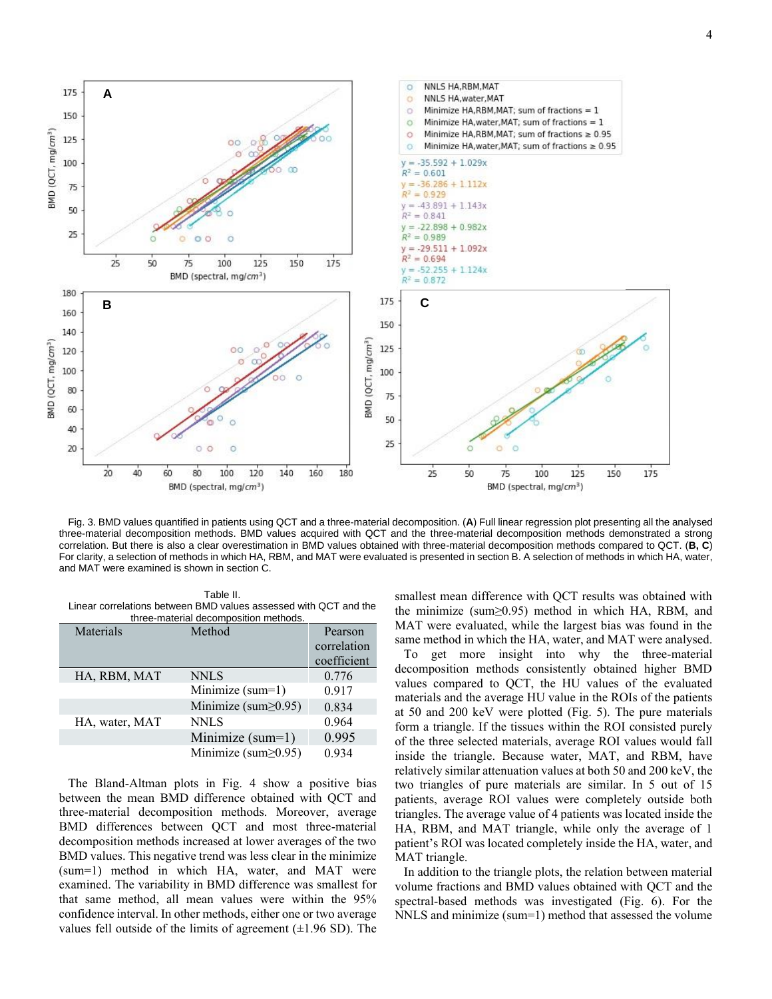4



Fig. 3. BMD values quantified in patients using QCT and a three-material decomposition. (**A**) Full linear regression plot presenting all the analysed three-material decomposition methods. BMD values acquired with QCT and the three-material decomposition methods demonstrated a strong correlation. But there is also a clear overestimation in BMD values obtained with three-material decomposition methods compared to QCT. (**B, C**) For clarity, a selection of methods in which HA, RBM, and MAT were evaluated is presented in section B. A selection of methods in which HA, water, and MAT were examined is shown in section C.

Table II. Linear correlations between BMD values assessed with QCT and the three-material decomposition methods.

| Materials      | Method                     | Pearson     |  |
|----------------|----------------------------|-------------|--|
|                |                            | correlation |  |
|                |                            | coefficient |  |
| HA, RBM, MAT   | <b>NNLS</b>                | 0.776       |  |
|                | Minimize (sum=1)           | 0.917       |  |
|                | Minimize (sum $\geq$ 0.95) | 0.834       |  |
| HA, water, MAT | <b>NNLS</b>                | 0.964       |  |
|                | Minimize $(sum=1)$         | 0.995       |  |
|                | Minimize (sum $\geq$ 0.95) | 0.934       |  |
|                |                            |             |  |

The Bland-Altman plots in Fig. 4 show a positive bias between the mean BMD difference obtained with QCT and three-material decomposition methods. Moreover, average BMD differences between QCT and most three-material decomposition methods increased at lower averages of the two BMD values. This negative trend was less clear in the minimize (sum=1) method in which HA, water, and MAT were examined. The variability in BMD difference was smallest for that same method, all mean values were within the 95% confidence interval. In other methods, either one or two average values fell outside of the limits of agreement  $(\pm 1.96 \text{ SD})$ . The smallest mean difference with QCT results was obtained with the minimize (sum≥0.95) method in which HA, RBM, and MAT were evaluated, while the largest bias was found in the same method in which the HA, water, and MAT were analysed.

To get more insight into why the three-material decomposition methods consistently obtained higher BMD values compared to QCT, the HU values of the evaluated materials and the average HU value in the ROIs of the patients at 50 and 200 keV were plotted (Fig. 5). The pure materials form a triangle. If the tissues within the ROI consisted purely of the three selected materials, average ROI values would fall inside the triangle. Because water, MAT, and RBM, have relatively similar attenuation values at both 50 and 200 keV, the two triangles of pure materials are similar. In 5 out of 15 patients, average ROI values were completely outside both triangles. The average value of 4 patients was located inside the HA, RBM, and MAT triangle, while only the average of 1 patient's ROI was located completely inside the HA, water, and MAT triangle.

In addition to the triangle plots, the relation between material volume fractions and BMD values obtained with QCT and the spectral-based methods was investigated (Fig. 6). For the NNLS and minimize (sum=1) method that assessed the volume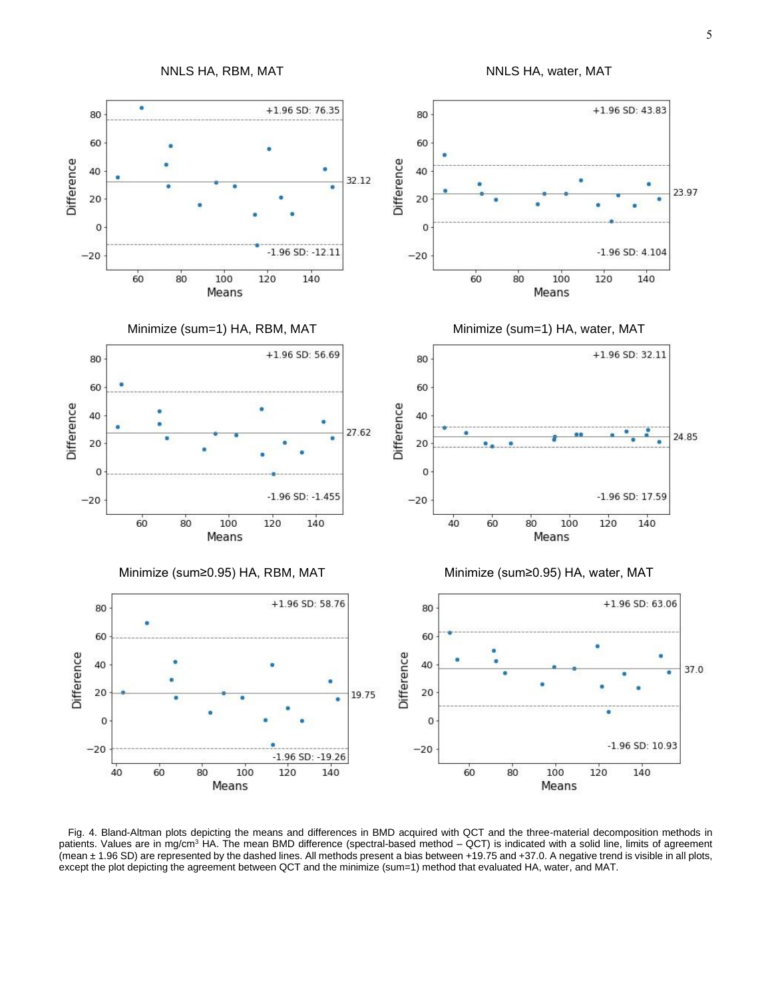

Fig. 4. Bland-Altman plots depicting the means and differences in BMD acquired with QCT and the three-material decomposition methods in patients. Values are in mg/cm<sup>3</sup> HA. The mean BMD difference (spectral-based method – QCT) is indicated with a solid line, limits of agreement (mean ± 1.96 SD) are represented by the dashed lines. All methods present a bias between +19.75 and +37.0. A negative trend is visible in all plots, except the plot depicting the agreement between QCT and the minimize (sum=1) method that evaluated HA, water, and MAT.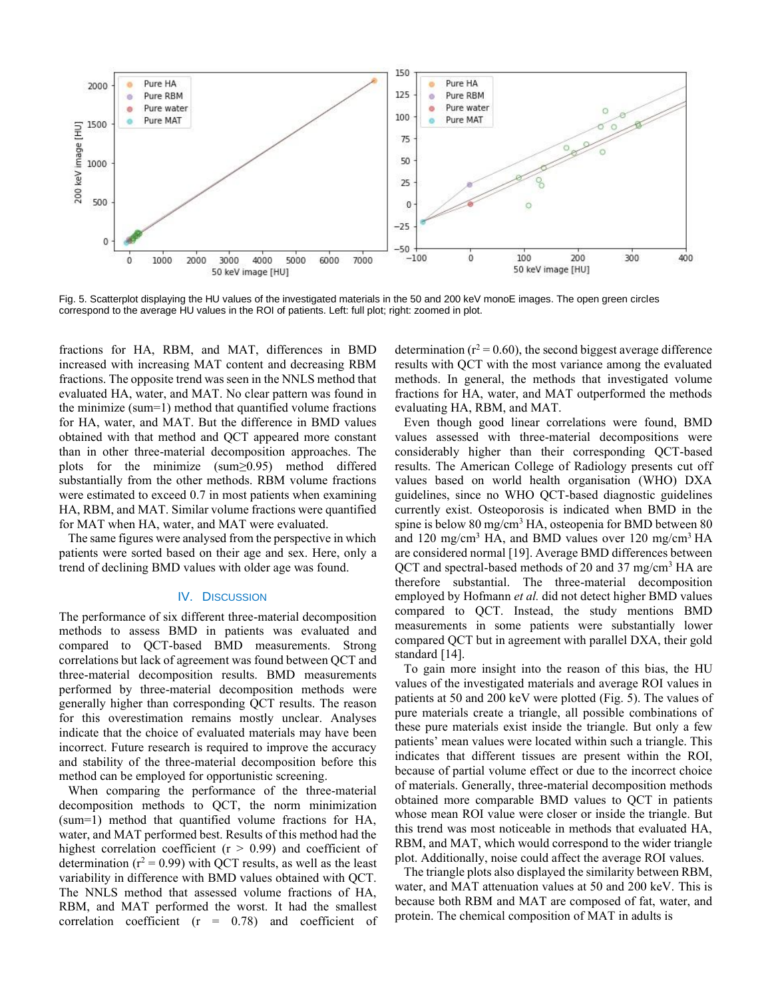

Fig. 5. Scatterplot displaying the HU values of the investigated materials in the 50 and 200 keV monoE images. The open green circles correspond to the average HU values in the ROI of patients. Left: full plot; right: zoomed in plot.

fractions for HA, RBM, and MAT, differences in BMD increased with increasing MAT content and decreasing RBM fractions. The opposite trend was seen in the NNLS method that evaluated HA, water, and MAT. No clear pattern was found in the minimize (sum=1) method that quantified volume fractions for HA, water, and MAT. But the difference in BMD values obtained with that method and QCT appeared more constant than in other three-material decomposition approaches. The plots for the minimize (sum≥0.95) method differed substantially from the other methods. RBM volume fractions were estimated to exceed 0.7 in most patients when examining HA, RBM, and MAT. Similar volume fractions were quantified for MAT when HA, water, and MAT were evaluated.

The same figures were analysed from the perspective in which patients were sorted based on their age and sex. Here, only a trend of declining BMD values with older age was found.

## IV. DISCUSSION

The performance of six different three-material decomposition methods to assess BMD in patients was evaluated and compared to QCT-based BMD measurements. Strong correlations but lack of agreement was found between QCT and three-material decomposition results. BMD measurements performed by three-material decomposition methods were generally higher than corresponding QCT results. The reason for this overestimation remains mostly unclear. Analyses indicate that the choice of evaluated materials may have been incorrect. Future research is required to improve the accuracy and stability of the three-material decomposition before this method can be employed for opportunistic screening.

When comparing the performance of the three-material decomposition methods to QCT, the norm minimization (sum=1) method that quantified volume fractions for HA, water, and MAT performed best. Results of this method had the highest correlation coefficient ( $r > 0.99$ ) and coefficient of determination ( $r^2 = 0.99$ ) with QCT results, as well as the least variability in difference with BMD values obtained with QCT. The NNLS method that assessed volume fractions of HA, RBM, and MAT performed the worst. It had the smallest correlation coefficient  $(r = 0.78)$  and coefficient of

determination ( $r^2$  = 0.60), the second biggest average difference results with QCT with the most variance among the evaluated methods. In general, the methods that investigated volume fractions for HA, water, and MAT outperformed the methods evaluating HA, RBM, and MAT.

Even though good linear correlations were found, BMD values assessed with three-material decompositions were considerably higher than their corresponding QCT-based results. The American College of Radiology presents cut off values based on world health organisation (WHO) DXA guidelines, since no WHO QCT-based diagnostic guidelines currently exist. Osteoporosis is indicated when BMD in the spine is below  $80 \text{ mg/cm}^3$  HA, osteopenia for BMD between  $80$ and 120 mg/cm<sup>3</sup> HA, and BMD values over 120 mg/cm<sup>3</sup> HA are considered normal [19]. Average BMD differences between QCT and spectral-based methods of 20 and 37 mg/cm<sup>3</sup> HA are therefore substantial. The three-material decomposition employed by Hofmann *et al.* did not detect higher BMD values compared to QCT. Instead, the study mentions BMD measurements in some patients were substantially lower compared QCT but in agreement with parallel DXA, their gold standard [14].

To gain more insight into the reason of this bias, the HU values of the investigated materials and average ROI values in patients at 50 and 200 keV were plotted (Fig. 5). The values of pure materials create a triangle, all possible combinations of these pure materials exist inside the triangle. But only a few patients' mean values were located within such a triangle. This indicates that different tissues are present within the ROI, because of partial volume effect or due to the incorrect choice of materials. Generally, three-material decomposition methods obtained more comparable BMD values to QCT in patients whose mean ROI value were closer or inside the triangle. But this trend was most noticeable in methods that evaluated HA, RBM, and MAT, which would correspond to the wider triangle plot. Additionally, noise could affect the average ROI values.

The triangle plots also displayed the similarity between RBM, water, and MAT attenuation values at 50 and 200 keV. This is because both RBM and MAT are composed of fat, water, and protein. The chemical composition of MAT in adults is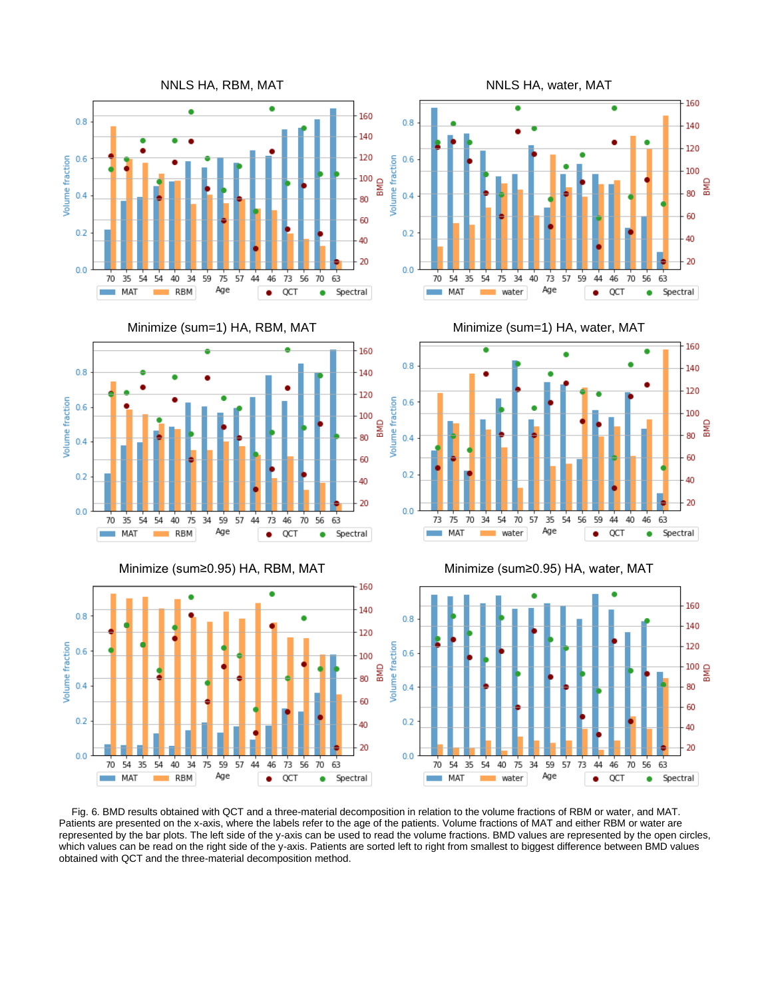





water

Age

ē

 $0.8$ 

 $0.6$ 

 $0.4$ 

 $0.2$ 

 $0.0$ 

70  $54$ 35  $54$  $75$ 34 40  $73$  $57$ 59  $\overline{44}$ 46 70  $56$ 63

MAT

160

140

120

100

60

40

20

Spectral

¶a<br>B 80

 $\bullet$ 

QCT

۰

 $\bullet$ 





Fig. 6. BMD results obtained with QCT and a three-material decomposition in relation to the volume fractions of RBM or water, and MAT. Patients are presented on the x-axis, where the labels refer to the age of the patients. Volume fractions of MAT and either RBM or water are represented by the bar plots. The left side of the y-axis can be used to read the volume fractions. BMD values are represented by the open circles, which values can be read on the right side of the y-axis. Patients are sorted left to right from smallest to biggest difference between BMD values obtained with QCT and the three-material decomposition method.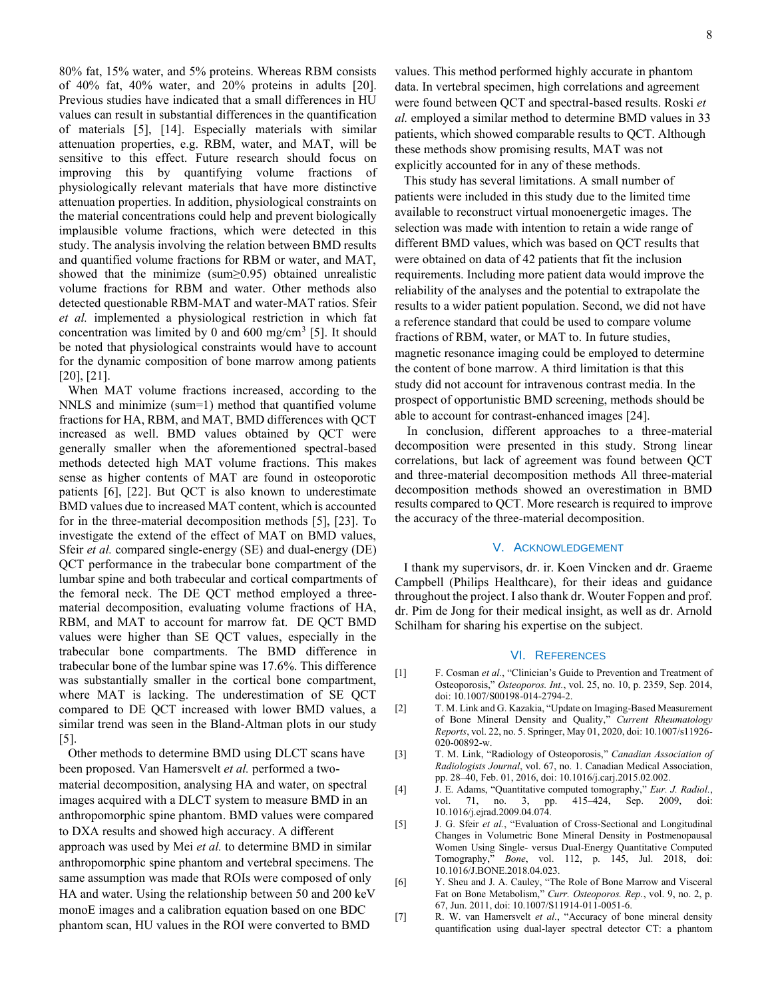80% fat, 15% water, and 5% proteins. Whereas RBM consists of 40% fat, 40% water, and 20% proteins in adults [20]. Previous studies have indicated that a small differences in HU values can result in substantial differences in the quantification of materials [5], [14]. Especially materials with similar attenuation properties, e.g. RBM, water, and MAT, will be sensitive to this effect. Future research should focus on improving this by quantifying volume fractions of physiologically relevant materials that have more distinctive attenuation properties. In addition, physiological constraints on the material concentrations could help and prevent biologically implausible volume fractions, which were detected in this study. The analysis involving the relation between BMD results and quantified volume fractions for RBM or water, and MAT, showed that the minimize (sum≥0.95) obtained unrealistic volume fractions for RBM and water. Other methods also detected questionable RBM-MAT and water-MAT ratios. Sfeir *et al.* implemented a physiological restriction in which fat concentration was limited by 0 and  $600 \text{ mg/cm}^3$  [5]. It should be noted that physiological constraints would have to account for the dynamic composition of bone marrow among patients [20], [21].

When MAT volume fractions increased, according to the NNLS and minimize (sum=1) method that quantified volume fractions for HA, RBM, and MAT, BMD differences with QCT increased as well. BMD values obtained by QCT were generally smaller when the aforementioned spectral-based methods detected high MAT volume fractions. This makes sense as higher contents of MAT are found in osteoporotic patients [6], [22]. But QCT is also known to underestimate BMD values due to increased MAT content, which is accounted for in the three-material decomposition methods [5], [23]. To investigate the extend of the effect of MAT on BMD values, Sfeir *et al.* compared single-energy (SE) and dual-energy (DE) QCT performance in the trabecular bone compartment of the lumbar spine and both trabecular and cortical compartments of the femoral neck. The DE QCT method employed a threematerial decomposition, evaluating volume fractions of HA, RBM, and MAT to account for marrow fat. DE QCT BMD values were higher than SE QCT values, especially in the trabecular bone compartments. The BMD difference in trabecular bone of the lumbar spine was 17.6%. This difference was substantially smaller in the cortical bone compartment, where MAT is lacking. The underestimation of SE QCT compared to DE QCT increased with lower BMD values, a similar trend was seen in the Bland-Altman plots in our study [5].

Other methods to determine BMD using DLCT scans have been proposed. Van Hamersvelt *et al.* performed a twomaterial decomposition, analysing HA and water, on spectral images acquired with a DLCT system to measure BMD in an anthropomorphic spine phantom. BMD values were compared to DXA results and showed high accuracy. A different approach was used by Mei *et al.* to determine BMD in similar anthropomorphic spine phantom and vertebral specimens. The same assumption was made that ROIs were composed of only HA and water. Using the relationship between 50 and 200 keV monoE images and a calibration equation based on one BDC phantom scan, HU values in the ROI were converted to BMD

values. This method performed highly accurate in phantom data. In vertebral specimen, high correlations and agreement were found between QCT and spectral-based results. Roski *et al.* employed a similar method to determine BMD values in 33 patients, which showed comparable results to QCT. Although these methods show promising results, MAT was not explicitly accounted for in any of these methods.

This study has several limitations. A small number of patients were included in this study due to the limited time available to reconstruct virtual monoenergetic images. The selection was made with intention to retain a wide range of different BMD values, which was based on QCT results that were obtained on data of 42 patients that fit the inclusion requirements. Including more patient data would improve the reliability of the analyses and the potential to extrapolate the results to a wider patient population. Second, we did not have a reference standard that could be used to compare volume fractions of RBM, water, or MAT to. In future studies, magnetic resonance imaging could be employed to determine the content of bone marrow. A third limitation is that this study did not account for intravenous contrast media. In the prospect of opportunistic BMD screening, methods should be able to account for contrast-enhanced images [24].

In conclusion, different approaches to a three-material decomposition were presented in this study. Strong linear correlations, but lack of agreement was found between QCT and three-material decomposition methods All three-material decomposition methods showed an overestimation in BMD results compared to QCT. More research is required to improve the accuracy of the three-material decomposition.

### V. ACKNOWLEDGEMENT

I thank my supervisors, dr. ir. Koen Vincken and dr. Graeme Campbell (Philips Healthcare), for their ideas and guidance throughout the project. I also thank dr. Wouter Foppen and prof. dr. Pim de Jong for their medical insight, as well as dr. Arnold Schilham for sharing his expertise on the subject.

#### VI. REFERENCES

- [1] F. Cosman *et al.*, "Clinician's Guide to Prevention and Treatment of Osteoporosis," *Osteoporos. Int.*, vol. 25, no. 10, p. 2359, Sep. 2014, doi: 10.1007/S00198-014-2794-2.
- [2] T. M. Link and G. Kazakia, "Update on Imaging-Based Measurement of Bone Mineral Density and Quality," *Current Rheumatology Reports*, vol. 22, no. 5. Springer, May 01, 2020, doi: 10.1007/s11926- 020-00892-w.
- [3] T. M. Link, "Radiology of Osteoporosis," *Canadian Association of Radiologists Journal*, vol. 67, no. 1. Canadian Medical Association, pp. 28–40, Feb. 01, 2016, doi: 10.1016/j.carj.2015.02.002.
- [4] J. E. Adams, "Quantitative computed tomography," *Eur. J. Radiol.*, vol. 71, no. 3, pp. 415–424, Sep. 2009, doi: 10.1016/j.ejrad.2009.04.074.
- [5] J. G. Sfeir *et al.*, "Evaluation of Cross-Sectional and Longitudinal Changes in Volumetric Bone Mineral Density in Postmenopausal Women Using Single- versus Dual-Energy Quantitative Computed Tomography," *Bone*, vol. 112, p. 145, Jul. 2018, doi: 10.1016/J.BONE.2018.04.023.
- [6] Y. Sheu and J. A. Cauley, "The Role of Bone Marrow and Visceral Fat on Bone Metabolism," *Curr. Osteoporos. Rep.*, vol. 9, no. 2, p. 67, Jun. 2011, doi: 10.1007/S11914-011-0051-6.
- [7] R. W. van Hamersvelt et al., "Accuracy of bone mineral density quantification using dual-layer spectral detector CT: a phantom